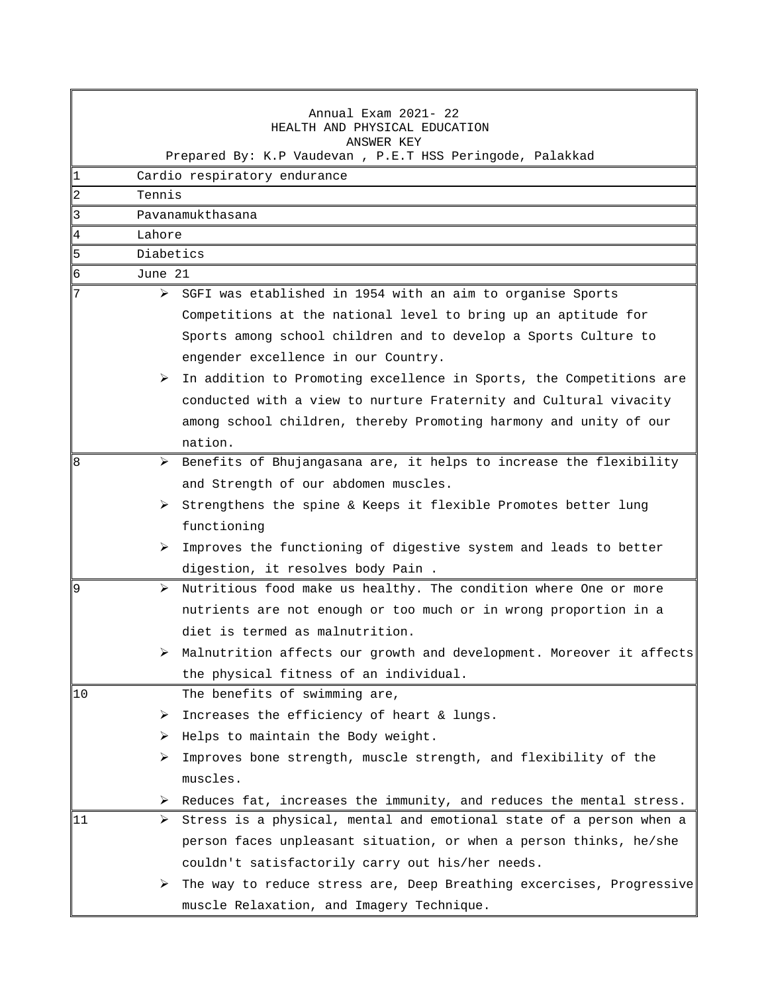|                                                          |                              | Annual Exam 2021- 22<br>HEALTH AND PHYSICAL EDUCATION                                 |  |  |
|----------------------------------------------------------|------------------------------|---------------------------------------------------------------------------------------|--|--|
| ANSWER KEY                                               |                              |                                                                                       |  |  |
| Prepared By: K.P Vaudevan, P.E.T HSS Peringode, Palakkad |                              |                                                                                       |  |  |
| 1                                                        | Cardio respiratory endurance |                                                                                       |  |  |
| $\overline{c}$                                           | Tennis                       |                                                                                       |  |  |
| 3                                                        | Pavanamukthasana             |                                                                                       |  |  |
| 4                                                        | Lahore                       |                                                                                       |  |  |
| 5                                                        | Diabetics                    |                                                                                       |  |  |
| 6                                                        | June 21                      |                                                                                       |  |  |
| 7                                                        |                              | $\triangleright$ SGFI was etablished in 1954 with an aim to organise Sports           |  |  |
|                                                          |                              | Competitions at the national level to bring up an aptitude for                        |  |  |
|                                                          |                              | Sports among school children and to develop a Sports Culture to                       |  |  |
|                                                          |                              | engender excellence in our Country.                                                   |  |  |
|                                                          |                              | $\triangleright$ In addition to Promoting excellence in Sports, the Competitions are  |  |  |
|                                                          |                              | conducted with a view to nurture Fraternity and Cultural vivacity                     |  |  |
|                                                          |                              | among school children, thereby Promoting harmony and unity of our                     |  |  |
|                                                          |                              | nation.                                                                               |  |  |
| 8                                                        |                              | $\triangleright$ Benefits of Bhujangasana are, it helps to increase the flexibility   |  |  |
|                                                          |                              | and Strength of our abdomen muscles.                                                  |  |  |
|                                                          |                              | $\triangleright$ Strengthens the spine & Keeps it flexible Promotes better lung       |  |  |
|                                                          |                              | functioning                                                                           |  |  |
|                                                          | ➤                            | Improves the functioning of digestive system and leads to better                      |  |  |
|                                                          |                              | digestion, it resolves body Pain.                                                     |  |  |
| 9                                                        | ➤                            | Nutritious food make us healthy. The condition where One or more                      |  |  |
|                                                          |                              | nutrients are not enough or too much or in wrong proportion in a                      |  |  |
|                                                          |                              | diet is termed as malnutrition.                                                       |  |  |
|                                                          |                              | $\triangleright$ Malnutrition affects our growth and development. Moreover it affects |  |  |
|                                                          |                              | the physical fitness of an individual.                                                |  |  |
| 10                                                       |                              | The benefits of swimming are,                                                         |  |  |
|                                                          |                              | $\triangleright$ Increases the efficiency of heart & lungs.                           |  |  |
|                                                          |                              | $\triangleright$ Helps to maintain the Body weight.                                   |  |  |
|                                                          | ➤                            | Improves bone strength, muscle strength, and flexibility of the                       |  |  |
|                                                          |                              | muscles.                                                                              |  |  |
|                                                          |                              | $\triangleright$ Reduces fat, increases the immunity, and reduces the mental stress.  |  |  |
| 11                                                       | ➤                            | Stress is a physical, mental and emotional state of a person when a                   |  |  |
|                                                          |                              | person faces unpleasant situation, or when a person thinks, he/she                    |  |  |
|                                                          |                              | couldn't satisfactorily carry out his/her needs.                                      |  |  |
|                                                          |                              | $\triangleright$ The way to reduce stress are, Deep Breathing excercises, Progressive |  |  |
|                                                          |                              | muscle Relaxation, and Imagery Technique.                                             |  |  |